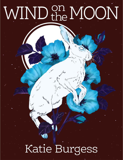# WIND the MOON

# Katie Burgess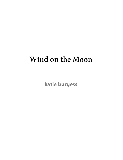# **Wind on the Moon**

**katie burgess**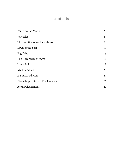#### **contents**

| Wind on the Moon               | 2  |
|--------------------------------|----|
| Variables                      | 4  |
| The Emptiness Walks with You   | 7  |
| Lawn of the Year               | 10 |
| Egg Baby                       | 13 |
| The Chronicles of Steve        | 16 |
| Like a Bull                    | 18 |
| My Friend Jeb                  | 20 |
| If You Lived Here              | 23 |
| Workshop Notes on The Universe | 25 |
| Acknowledgements               | 27 |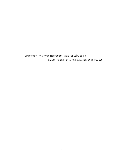*In memory of Jeremy Herrmann, even though I can't decide whether or not he would think it's weird.*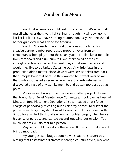#### **Wind on the Moon**

<span id="page-4-0"></span>We did it so America could feel proud again. That's what I tell myself whenever the silvery light shines through my window, going liar liar liar liar. I say, I have nothing to atone for. I say, No one should harbor guilt over what's done for America.

We didn't consider the ethical questions at the time. My creative partner, Jimbo, repurposed props left over from an elementary school play about the solar system. I built a lunar module from cardboard and aluminum foil. We interviewed dozens of struggling actors and asked how well they could keep secrets and would they like to be United States heroes. Any little flaws in the production didn't matter, since viewers were less sophisticated back then. People bought it because they wanted to. It went over so well that Jimbo suggested a sequel where the astronauts returned and discovered a race of tiny warlike men, but I'd gotten too busy at that point.

My superiors brought me in on several other projects. I joined the Round Earth Belief Maintenance Committee. I took over as head of Dinosaur Bone Placement Operations. I spearheaded a task force in charge of periodically releasing nude celebrity photos, to distract the public from things they didn't need to know about. I lost touch with Jimbo for a while. I think that's when his troubles began, when he lost his sense of purpose and started second-guessing our mission. Too much idleness will do that to a person.

Maybe I should have done the sequel. But asking what if won't bring Jimbo back.

My youngest son brags about how his dad runs covert ops, hinting that I assassinate dictators in foreign countries every weekend.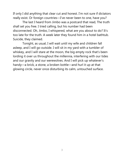If only I did anything that clear cut and honest. I'm not sure if dictators really exist. Or foreign countries—I've never been to one, have you?

The last I heard from Jimbo was a postcard that read, The truth shall set you free. I tried calling, but his number had been disconnected. Oh, Jimbo, I whispered, what are you about to do? It's too late for the truth. A week later they found him in a hotel bathtub. Suicide, they claimed.

Tonight, as usual, I will wait until my wife and children fall asleep, and I will go outside. I will sit in my yard with a tumbler of whiskey, and I will stare at the moon, the big empty rock that's been lording it over us throughout the millennia, interfering with our tides and our gravity and our werewolves. And I will pick up whatever's handy—a brick, a stone, a broken bottle—and hurl it up at that glowing circle, never once disturbing its calm, untouched surface.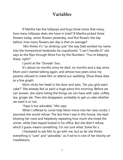### **Variables**

<span id="page-6-0"></span>If Martha has five lollipops and buys three times that many, how many lollipops does she have in total? If Martha picked three flowers today, seven flowers yesterday, and five flowers the day before, how many flowers per day is that on average?

Min thinks it's "so stinking cute" the way Dad worked my name into the homeschool textbooks he coauthored. "I can't handle it!" she says as she flips through More Fun by the Numbers. "You're keeping these, right?"

I point at the "Donate" box.

It's about six months since he died, six months and a day since Mom and I started talking again, and almost two years since my parents refused to meet Min or attend our wedding. Show these data as a line graph.

Mom sticks her head in the door and asks, "Do you girls want cake?" She already fed us each a huge piece this morning. Before we can answer, she starts listing the things we can have with cake: coffee, tea, ginger ale. Then she disappears, probably to get us cake whether we want it or not.

"Faye is too adorable," Min says.

When I offered to come help Mom move into her new condo, I assumed she would refuse. The last time I was in this house, she kept blowing her nose and helplessly repeating how much she loved the sinner, while Dad stayed locked in his office. But she didn't refuse, which I guess means something. I'm not sure what. Solve for x.

I hesitated to ask Min to go with me, but so far she thinks everything is "cute" and "adorable," as if we're in one of her kitschy art installations.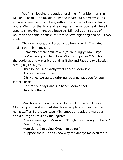We finish loading the truck after dinner. After Mom turns in, Min and I head up to my old room and inflate our air mattress. It's strange to see it empty in here, without my snow globes and Narnia books. We sit on the floor and lean against the window seat where I used to sit making friendship bracelets. Min pulls out a bottle of bourbon and some plastic cups from her overnight bag and pours two shots.

The door opens, and I scoot away from Min like I'm sixteen again. I try to hide my cup.

"Remember there's still cake if you're hungry," Mom says.

"We're having cocktails, Faye. Won't you join us?" Min holds the bottle up and waves it around, as if she and Faye are two besties having a girls' night.

"That sounds like exactly what I need," Mom says.

"Are you serious?" I say.

"Oh, Honey, we started drinking red wine ages ago for your father's heart."

> "Cheers," Min says, and she hands Mom a shot. They clink their cups.

Min chooses this vegan place for breakfast, which I expect Mom to grumble about, but she cleans her plate and finishes my hemp waffles. Before we leave, Min jumps up to ask the manager about a frog sculpture by the register.

> "Min's a sweet girl," Mom says. "I'm glad you brought a friend." "Friend. I see."

Mom sighs. "I'm trying. Okay? I'm trying."

I suppose she is. I don't know why this annoys me even more.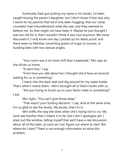Eventually Dad quit putting my name in his books. I'd been caught kissing the pastor's daughter, but I don't know if that was why. I swore to my parents that we'd only been hugging, that our camp counselor had misunderstood what she saw, and they seemed to believe me. So that might not have been it. Maybe he just thought I was too old for it, that I wouldn't think it was cool anymore. We never discussed it. I only know one day I picked up his latest proof, and there were no Marthas converting grams of sugar to ounces, or building kites with two obtuse angles.

"Your mom was a lot more chill than I expected," Min says as she drives us home.

"It went fine," I say.

"From how you talk about her I thought she'd have an exorcist waiting for us or something."

I reach into the back seat and dig around for my water bottle. That's when I notice them—Min's brought all of Dad's books with us.

"Are you trying to brush up on your factor trees or something?" I ask.

Min sighs. "You can't give those away."

"That wasn't your fucking decision," I say. And at the same time, I'm so glad to see the books. My books, that I'm in.

Min sniffs, the way she does when she's trying not to cry. My tone was harsher than I meant it to be, but I don't apologize yet. I stare out the window, telling myself that we'll have a real discussion about all of this later, as soon as I can figure out where to start. But where do I start? There is not enough information to solve this problem.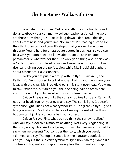#### **The Emptiness Walks with You**

<span id="page-9-0"></span>You hate those stories. Out of everything in the two hundred dollar textbook your community college teacher assigned, the worst are those ones that go, You're walking down a dark road, thinking about emptiness, and you're like, No I'm not! I'm reading a story! Do they think they can fool you? It's stupid that you even have to learn this crap. You're here for an associate degree in business, so you can be a CEO; you don't need to know about Jane Austen or iambic pentameter or whatever for that. The only good thing about this class is Caitlyn J., who sits in front of you and wears lace thongs with low rise jeans, giving you the perfect view while Ms. Brookfield blathers about assonance. Ha. Assonance.

Today you get put in a group with Caitlyn J., Caitlyn R., and Kaitlyn. You're supposed to talk about symbolism and then share your ideas with the class. Ms. Brookfield pulls this stunt every day. You want to say, Excuse me, but aren't you the one being paid to teach here, and so shouldn't you tell us what the symbolism means?

Caitlyn J. says she thinks the sun symbolizes light, and Caitlyn R. nods her head. You roll your eyes and say, The sun is light. It doesn't symbolize light. That's not what symbolism is. The glare Caitlyn J. gives lets you know you've lost any chance of seeing the rest of her thong, but you can't just let someone be that incorrect.

Caitlyn R. says, Fine, what do you think the sun symbolizes? And you say, It doesn't symbolize anything. Not every single thing in the story is a symbol. And Kaitlyn says, Then what are we supposed to say when we present? You consider the story, which you barely skimmed, and say, The fog. It symbolizes the narrator's confusion. Caitlyn J. says, If the sun can't symbolize light, how can fog symbolize confusion? Fog makes things confusing, like the sun makes things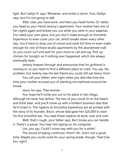light. But Caitlyn R. says, Whatever, and writes it down. Fine, Kaitlyn says, but I'm not going to talk.

After class you have work, and then you head home. Or rather, you head to your friend Jeremy's apartment. Your mother had one of her nights again and kicked you out while you were in your pajamas. You need your own place, but you don't make enough at Smoothie Experience to even cover your car, which breaks down every other day. You'd have to drop out of school and work full time to even make enough for one of those studio apartments by the abandoned mall. So you couch surf and wait for your mom to call and say, Pick up chicken for tonight, as if nothing ever happened, which she always eventually does.

Jeremy breezes through and announces that his girlfriend is moving in, so you need to find a different place to crash. You say, No problem, but Jeremy was the last friend you could still ask favors from.

You call your father, who sighs when you describe how this time your mother accused you of planting microphones around her house.

Jesus, he says. That woman.

You hope he'll invite you out to his place in San Diego, although he never has before. The two of you could sit on the beach and drink beer, and you'll come up with a brilliant business idea that he'll invest in. The napkins at Smoothie Experience are all printed with the story of its founder, Bryce, whose dad gave him \$20,000 to start his first smoothie bar. You read those napkins at work, over and over.

Well, that's rough, your father says. But I know you can handle it. There's a pause. You hear him typing on his computer.

Um, you say, Could I come stay with you for a while?

The sound of typing continues. Hmm? Ah, now's not a good time. Maybe you could come for your spring break, though. That'd be fun, right?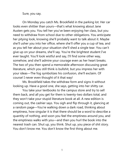#### Sure, you say.

On Monday you catch Ms. Brookfield in the parking lot. Her car looks even shittier than yours—that's what knowing about Jane Austen gets you. You tell her you've been enjoying her class, but you need to withdraw from school due to other obligations. You anticipate her pitying look, knowing she'll probably want to talk about it. Maybe she'll usher you into her office, where she'll offer you a cup of tea, and as you tell her about your situation she'll shed a single tear. You can't give up on your dreams, she'll say. You're the brightest student I've ever taught. You'll look wistful and say, I'll find some other way, somehow, and she'll admire your courage even as her heart breaks. The two of you then spend a memorable afternoon discussing great literature, which you still think is bullshit, but you impress her with your ideas—The fog symbolizes his confusion, she'll exclaim. Of course! I never even thought of it that way!

Ms. Brookfield takes the withdraw form and signs it without looking up. Have a good one, she says, getting into her shitty car.

<span id="page-11-0"></span>You take your textbooks to the campus store and try to sell them back, and all you get for them is twenty-two dollars total, and they won't take your stupid literature book at all. A new edition is coming out, the cashier says. You sigh and flip through it, glancing at a random page—You're walking down a dark road, thinking about emptiness, how singular it is that there should be a word to describe a quantity of nothing, and soon you feel the emptiness around you, and the emptiness walks with you—and then you hurl the book into the nearest trash can. Shut up, you think. Shut up, you piece of shit story. You don't know me. You don't know the first thing about me.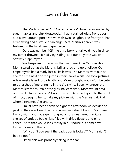#### **Lawn of the Year**

The Martins owned 107 Crater Lane, a Victorian surrounded by sugar maples and pink dogwoods. It had a stained-glass front door and a wraparound porch strewn with twinkle lights. The front yard had a tire swing and a statue of an angel. Mrs. Martin's garden was featured in the local newspaper twice.

Ours was number 105, the third boxy rental we'd lived in since my father drowned. It had vinyl siding, and our only tree was one scrawny crape myrtle.

We trespassed on a whim that first time. One October day Mom stared out at the Martins' brilliant red and gold foliage. Our crape myrtle had already lost all its leaves. The Martins were out, so she took me next door to jump in their leaves while she took pictures. A few weeks later I lost a tooth, and Mom thought wouldn't it be cute to get a shot of me grinning in the tire swing. Soon, whenever the Martins left for church or the girls' ballet recitals, Mom would break out the digital camera she'd won from a PTA raffle. I got into the spirit of it too, begging her to take my picture with the Martins' cat, Pud, whom I renamed Alexandra.

I must have been seven or eight the afternoon we decided to peek in their windows. The living room was straight out of Southern Living, with handmade quilts draped across weathered furniture, shelves of antique books, jars filled with dried flowers and pine cones—stuff that would look messy in our house but somehow looked homey in theirs

"Why don't you see if the back door is locked?" Mom said. "I bet it's not."

I knew this was probably taking it too far.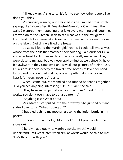"I'll keep watch," she said. "It's fun to see how other people live, don't you think?"

My curiosity winning out, I slipped inside. Framed cross-stitch sayings, like "Mom's Bed & Breakfast—Make Your Own!" lined the walls. I pictured them repeating that joke every morning and laughing. I moved on to the kitchen, keen to see what was in the refrigerator. Fresh fruit. Half a cheesecake. A six-pack of beer with crescent moons on the labels. Diet dinners filled the freezer.

Upstairs, I found the Martin girls' rooms. I could tell whose was whose from the dolls that matched their coloring—a blonde for Celia and a redhead for Andrea, each lying atop a neatly made bed. They were close to my age, but we never spoke—just as well, since I'd have felt awkward if they came over and saw all our pictures of their house. Celia's dresser held exactly ten travel-sized bottles of lavender hand lotion, and I couldn't help taking one and putting it in my pocket. I kept it for years, never using any.

When I came out, Mom smiled and rubbed her hands together. "Did you see anything interesting? Or unusual?" she said.

"They have an old pinball game in their den," I said. "It still works. You don't even have to put a quarter in."

"Anything else? What about—"

Mrs. Martin's car pulled into the driveway. She jumped out and stalked over to us. "What's going on?"

I huddled behind my mother, grasping the lotion bottle in my pocket.

"I thought I saw smoke," Mom said. "Could you have left the stove on?"

I barely made out Mrs. Martin's words, which I wouldn't understand until years later, when similar words would be said to me: "He's through with you."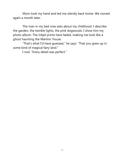Mom took my hand and led me silently back home. We moved again a month later.

The man in my bed now asks about my childhood. I describe the garden, the twinkle lights, the pink dogwoods. I show him my photo album. The inkjet prints have faded, making me look like a ghost haunting the Martins' house.

"That's what I'd have guessed," he says. "That you grew up in some kind of magical fairy land."

I nod. "Every detail was perfect."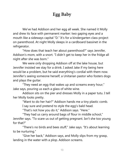# **Egg Baby**

<span id="page-15-0"></span>We've had Addison and her egg all week. She named it Molly and drew its face with permanent marker: two gaping eyes and a mouth like a sideways capital "D." It's for a kindergarten class project on parenthood. At night Molly sleeps in a cardboard bassinet in the refrigerator.

"How does that teach her about parenthood?" says Jennifer, Addison's mom, with a snort. "I didn't get to keep her in the fridge all night after she was born."

We were only dropping Addison off at the lake house, but Jennifer insisted we stay for a drink. I asked Jake if my being here would be a problem, but he said everything's cordial with them now. Jennifer's seeing someone herself, a Unitarian pastor who fosters dogs and plays the guitar.

"They need an egg that wakes up and screams every hour," Jake says, pouring us each a glass of white wine.

Addison sits on the pier and dresses Molly in a paper tutu. I tell her Molly looks pretty.

"Want to do her hair?" Addison hands me a tiny plastic comb.

I say sure and pretend to style the egg's bald head.

"That's not how you do it," Addison says. "Here."

"They had us carry around bags of flour in middle school," Jennifer says. "To scare us out of getting pregnant. Isn't she too young for that?"

"There's no birds and bees stuff," Jake says. "It's about learning to be nurturing."

"Give her back," Addison says, and Molly slips from my grasp, landing in the water with a plop. Addison screams.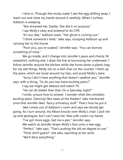I dive in. Through the murky water I see the egg drifting away. I reach out and close my hands around it carefully. When I surface, Addison is weeping.

"She drowned her, Daddy. She did it on purpose."

I say Molly's okay and pretend to do CPR.

"It's too late," Addison wails. "Her ghost is coming out."

"I think someone's tired," Jake says, scooping Addison up and carrying her to the house.

"Poor you, you're soaked," Jennifer says. "You can borrow something of mine."

We go inside, and I change into Jennifer's jeans and charity 5K sweatshirt, nothing else. I draw the line at borrowing her underwear. I follow Jennifer around the kitchen while she hunts down a plastic bag for my wet things. Molly sits on a doll chair on the counter. I hitch up the jeans, which are loose around my hips, and avoid Molly's stare.

"Sorry I don't have anything that doesn't swallow you," Jennifer says, with a shrug. "So do you two have exciting plans?"

I say we might get takeout and watch TV.

"He can do better than that. On a Saturday night?"

I smile, unsure how to answer. I wonder what she considers exciting plans. Dancing? Box seats at the theater? Jake mentioned once that Jennifer likes "fancy-schmancy stuff." That's how he put it.

Jake comes out of Addison's room and says we should get going. As I turn around, my elbow knocks over Molly's chair. I pick her up and apologize, but I can't save her. Raw yolk covers my hands.

"I've got more eggs. Get me a pen," Jennifer says.

We watch as Jennifer draws Molly's face onto a new egg.

"Perfect," Jake says. "That's putting the old art degree to use."

"Think she'll guess?" she asks, squinting at her work.

"We'll deny everything."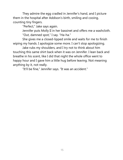They admire the egg cradled in Jennifer's hand, and I picture them in the hospital after Addison's birth, smiling and cooing, counting tiny fingers.

"Perfect," Jake says again.

Jennifer puts Molly II in her bassinet and offers me a washcloth. "Out, damned spot," I say. "Ha-ha."

She gives me a closed-lipped smile and waits for me to finish wiping my hands. I apologize some more. I can't stop apologizing.

Jake rubs my shoulders, and I try not to think about him touching this same shirt back when it was on Jennifer. I lean back and breathe in his scent, like I did that night the whole office went to happy hour and I gave him a little hug before leaving. Not meaning anything by it, not really.

"It'll be fine," Jennifer says. "It was an accident."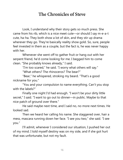#### **The Chronicles of Steve**

<span id="page-18-0"></span>Look, I understand why their story gets so much press. She came from his rib, which is a nice meet cute—or should I say m-e-a-t cute, ha-ha. They both show a lot of skin, and they stir up drama wherever they go. They're basically reality show gold. So, sure, people feel invested in them as a couple, but the fact is, he was never happy with her.

Whenever she went off to gather fruit or hang out with her serpent friend, he'd come looking for me. I begged him to come clean. "She probably knows already," I said.

"I'm too scared," he said. "I worry what others will say."

"What others? The rhinoceros? The bear?"

"Bear," he whispered, stroking my beard. "That's a good nickname for you."

"You and your compulsion to name everything. Can't you stop with the labels?"

Finally one night I'd had enough. "I won't be your dirty little secret," I said. "I want to go out to dinner—in public. Maybe to that nice patch of ground over there."

He said maybe next time, and I said no, no more next times. He looked sad.

Then we heard her calling his name. She staggered over, hair a mess, mascara running down her face. "I see you two," she said. "I see you."

I'll admit, whenever I considered our situation, I pushed her out of my mind. I told myself destiny was on my side, and if she got hurt that was unfortunate, but not my fault.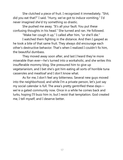She clutched a piece of fruit. I recognized it immediately. "Shit, did you eat that?" I said. "Hurry, we've got to induce vomiting." I'd never imagined she'd try something so drastic.

She pushed me away. "It's all your fault. You put these confusing thoughts in his head." She turned and ran. He followed.

"Make her cough it up," I called after him, "or she'll die."

I watched them fighting in the distance. And then I gasped as he took a bite of that same fruit. They always did encourage each other's destructive behavior. That's when I realized I couldn't fix him, the beautiful dumbass.

They moved away soon after, and last I heard they're more miserable than ever—he's turned into a workaholic, and she writes this insufferable mommy blog. She pressured him to give up vegetarianism, and I bet she's got him eating all sorts of horrible tuna casseroles and meatloaf and I don't know what.

As for me, I don't feel any bitterness. Several new guys moved into the neighborhood, and while I'm a private person, let's just say my social calendar is full. The area's pretty gentrified these days we're a gated community now. Once in a while he comes back and lurks, hoping I'll buzz him in, but I resist that temptation. God created me, I tell myself, and I deserve better.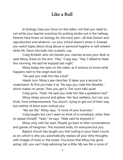# **Like a Bull**

<span id="page-20-0"></span>In biology class you focus on the video, not that you need to, not while your teacher practices his putting stroke out in the hallway. Parents here frown on biology for the most part—all that Darwin and reproduction and whatnot—so your school doesn't stress it. Instead you watch tapes about drug abuse or personal hygiene or self-esteem while Mr. Davis hits balls into a plastic cup.

Craig Kimbell, who sits beside you, reaches across your desk to swat Missy Grant on the arm. "Hey," Craig says. "Hey. I talked to Nate this morning. He said he enjoyed last night."

Missy keeps her eyes on the video, as if anxious to know what happens next to the angel dust kid.

"He said you rode him like a bull."

Heads turn. Missy's jaw clenches. It takes you a second to understand. At first you hear it as "He says you rode him likeable," which makes no sense. Then you get it. The room falls quiet.

Craig grins. "Yeah. He said you rode him like a goddamn bull." Missy whips around and glares. Her face reddens, but not, you think, from embarrassment. You slouch, trying to get out of their way, but neither of them even notices you.

"My sex life," Missy says, "is none of your business."

Craig laughs but can't seem to think of a comeback, other than to repeat himself. "Yeah," he says. "Nate said he enjoyed it."

Missy only rolls her eyes. People go back to their conversations and games of hangman. The moment ends, for everyone but you.

Baptist church has taught you that lusting in your heart counts as sin, which is why you automatically replace all your dirty thoughts with images of trees or the ocean. You know that Missy has gone astray; still, you can't help admiring her a little. My sex life is none of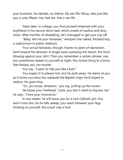your business. No denials, no shame. My sex life. Missy, who just like you is only fifteen, has had sex. Has a sex life.

Years later, in college, you find yourself entwined with your boyfriend in his narrow dorm bed, which smells of nachos and dirty socks. After months of wheedling, he's managed to get your top off.

"Baby, tell me your fantasies," whispers the naked, freckled boy, a sophomore in public relations.

Your actual fantasies, though, thanks to years of repression, tend toward the abstract. A single wave caressing the beach, the wind blowing against your skirt. Then you remember a certain phrase, one you sometimes repeat to yourself at night, the closest thing to a bona fide fantasy you can muster.

You say, "I want to ride you like a bull."

You expect it to please him, but he pulls away. He stares at you, as if some succubus has replaced the Baptist virgin he'd hoped to seduce. He goes limp.

"Or, you know, whatever," you say, pulling up the covers.

He kisses your forehead. "Look, you don't need to impress me," he says. "I love your innocence."

In two weeks, he will leave you for a nice Catholic girl. You won't miss him. As he falls asleep, you reach between your legs, thinking to yourself, like a bull. Like a bull.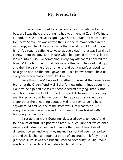### **My Friend Jeb**

<span id="page-22-0"></span>HR asked me to put together something for Jeb, probably because I was the closest thing he had to a friend at Zoom! Wellness Emporium. See, three years ago I gave him a pound of French roast for Secret Santa. Jeb was always the first one to make coffee in the mornings, so when I drew his name that was all I could think to get him. "You require caffeine to wake up every day"—that was literally all I knew about the guy. But his face when he opened it—it was like I'd looked into his soul or something. Every day afterwards he'd tell me how he'd made some of that delicious coffee, until he used it all up, and then he'd say he tried another brand but it wasn't as good, so he'd gone back to the one I gave him. "Zach knows coffee," he'd tell everyone, when really I don't like it much.

So although we'd worked together for years at the same Zoom! branch at the Green Pond Mall, I didn't know other things about him, like how he'd joined a class for people scared of flying. That is, not until his graduation flight crashed outside Tallahassee. The obituary mentioned only that he was born in Pensacola and survived by a stepbrother there, nothing about any kind of service being held anywhere. At first no one at the store was sure what to do. But everyone remembered me and the coffee, so I was tasked with honoring his memory.

I sat up that night Googling "deceased coworker ideas" and found a lot of stuff, like poems to read, but I couldn't tell which ones were good. I drank a beer and then another beer. I read lists of different flowers and what they meant. I ran out of beer, so I poked around the kitchen and found a bottle of coconut rum left by my exgirlfriend, Nika. It was old but still smelled coconutty, so I figured it was fine. It tasted fine. Then I decided to call Nika.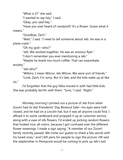"What is it?" she said.

"I wanted to say hey," I said.

"Okay, you said hey."

"Have you ever heard of candytuft? It's a flower. Guess what it means."

"Goodbye, Zach."

"Wait," I said. "I need to tell someone about Jeb. He was in a plane crash."

"Oh my god—who?"

"Jeb. We worked together. He was an anxious flyer."

"I don't remember you ever mentioning a Jeb."

"Maybe he drank too much coffee. That can exacerbate anxiety.'

"Jeb who?"

"Wilkins. I mean Wilcox. Jeb Wilcox. We were sort of friends."

"Look, Zach, I'm sorry. But it's late, and the kids wake up at like six."

I'd forgotten that the guy Nika moved in with had little kids. She was probably terrific with them. "Sure," I said. "Night."

Monday morning I printed out a picture of Jeb from when Zoom! had its last Presidents' Day Blowout Sale—his eyes were halfclosed, and he had on a Lincoln hat, but it was all anyone could find. I affixed it to some cardboard and propped it up at customer service, along with a vase of silk flowers. I'd ended up picking random flowers that looked nice, all colors, because I got confused over the different flower meanings. I made a sign saying, "A member of our Zoom! family recently passed. We invite our guests to share a few words with his loved ones," and I left pens for people to sign the picture. HR said the stepbrother in Pensacola would be coming to pick up Jeb's last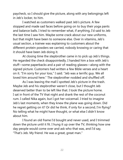paycheck, so I should give the picture, along with any belongings left in Jeb's locker, to him.

I watched as customers walked past Jeb's picture. A few stopped and made sad faces before going on to buy their yoga pants and balance balls. I tried to remember what, if anything, I'd said to Jeb the last time I saw him. Maybe some crack about our new uniforms, but that might have been to someone else. Over in vitamins, Jeb's usual section, a trainee was explaining to customers about the different protein powders we carried, nobody knowing or caring that it should have been Jeb doing it.

At closing time the stepbrother came in to pick up Jeb's things. He regarded the check disappointedly. I handed him a box with Jeb's stuff—some paperbacks and a pair of reading glasses—along with the signed picture. Customers had written a few Bible verses and a heart on it. "I'm sorry for your loss," I said. "Jeb was a terrific guy. We all loved him around here." The stepbrother nodded and shuffled off.

As I was leaving the mall I spotted Jeb's picture in the trash. Maybe Jeb and his stepbrother weren't close, but I thought Jeb deserved better than to be left like that. I took the picture home. I sat in front of the TV that night and drank the rest of the coconut rum. I called Nika again, but I got her voicemail. I tried to imagine Jeb's last moments, when they knew the plane was going down. Did he regret getting on it? Or did he think, if only for a second, I'm flying? No telling what he might have thought, or what else I didn't know about him.

I found an old frame I'd bought and never used, and I trimmed down the picture until it fit. I hung it up over the TV, thinking how one day people would come over and ask who that was, and I'd say, "That's Jeb. My friend. He was a great, great man."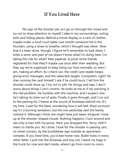#### **If You Lived Here**

<span id="page-25-0"></span>No sign of the shooter yet, so I go on through the crowd and try not to draw attention to myself. I take in my surroundings, noting exits and hiding places. Behind a movie display or a rack of clothes, maybe under a food court table. Last month someone hid in the fountain, using a straw to breathe, which I thought was clever. Now that it's been done, though, I figure he'll remember to look there. I enter a store, and part of me doesn't know what I'm doing here. I'm taking this risk for what? New pajamas. A juicer some friends registered for that they'll maybe use once after their wedding. But they say we're supposed to keep living our lives normally, so here I am, making an effort. As I check out, the credit card reader keeps giving error messages, and the salesclerk laughs. Computers, right? He tries running the card himself. I ask if he could hurry. I tell him the shooter could show up. I try not to yell. He shrugs and says, I don't worry about things I can't control. He looks at me as if my worrying is the real problem. He fumbles with the machine, and I suspect now he's taking his time out of spite. Finally it goes through, and I run out to the parking lot. I freeze at the sound of footsteps behind me. It's my time. I wait for the blast, wondering how it will feel. Most survivors say it's a burning sensation, but the one yesterday said she barely noticed it. Although I think she might have just taken shrapnel. I look up at the shooter-shaped clouds. Nothing happens. I turn around and see only a man with my purse. Here, you dropped this. Sorry, didn't mean to startle you. As I drive, I look for the shooter in passing cars, on street corners, by the bumblebee sign outside an apartment complex. If you lived here, you'd bee home now. Bullet holes in every other letter. I pull into the driveway and hop out. I leave my bags in the trunk for now and dart inside, where I go from room to room,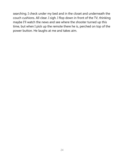searching. I check under my bed and in the closet and underneath the couch cushions. All clear. I sigh. I flop down in front of the TV, thinking maybe I'll watch the news and see where the shooter turned up this time, but when I pick up the remote there he is, perched on top of the power button. He laughs at me and takes aim.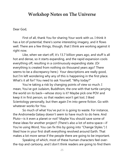#### <span id="page-27-0"></span>**Workshop Notes on The Universe**

#### Dear God,

First of all, thank You for sharing Your work with us. I think it has a lot of potential; there's some interesting imagery, and it flows well. There are a few things, though, that I think are working against it right now.

Like, when we start off, it's 13.7 billion years ago, and stuff is all hot and dense, so it starts expanding, and the rapid expansion cools everything off, resulting in a continuously expanding state. (Or everything is created from nothing six thousand years ago? There seems to be a discrepancy here.) Your descriptions are really good, but I'm left wondering why any of this is happening in the first place. What's it all for? You need to ask Yourself, "Why today?"

You're taking a risk by changing points of view so much. I mean, You've got Judaism, Buddhism, the one with that turtle carrying the world on its back—whose story is it? Maybe pick one POV and keep it in first person, so that readers won't get lost. I liked Scientology personally, but then again I'm into genre fiction. Go with whatever works for You.

So much of what You've put in is going to waste. For instance, the Andromeda Galaxy doesn't seem to have much to do here. And Pluto—is it even a planet or not? Maybe You should save some of these ideas for another project? (There's also a lot of extra space—if You're using Word, You can fix this by going into "Change Styles.") I liked how in your first draft everything revolved around Earth. That makes a lot more sense if the people there are going to be important.

Speaking of which, most of these human characters feel overthe-top and cartoony, and I don't think readers are going to find them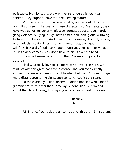believable. Even for satire, the way they're rendered is too meanspirited. They ought to have more redeeming features.

My main concern is that You're piling on the conflict to the point that it seems like overkill. These characters You've created, they have war, genocide, poverty, injustice, domestic abuse, rape, murder, gang violence, bullying, drugs, hate crimes, pollution, global warming, torture—it's already a lot. And then You add disease, drought, famine, birth defects, mental illness, tsunamis, mudslides, earthquakes, wildfires, blizzards, floods, tornadoes, hurricanes, etc. It's like, we get it—it's a dark comedy. You don't have to hit us over the head.

Cockroaches—what's up with them? Were You going for absurdism?

Finally, I'd really love to see more of Your voice in here. We start off with this great narrative presence, and You even directly address the reader at times, which I hearted, but then You seem to get more distant around the eighteenth century. Keep it consistent.

So those are my major concerns. I didn't notice a whole lot of grammatical stuff, other than some lay/lie confusion, but I'm bad about that, too! Anyway, I thought you did a really great job overall.

> Sincerely, Katie

P.S. I notice You took the unicorns out of this draft. I miss them!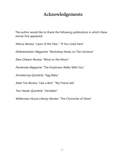# **Acknowledgements**

<span id="page-29-0"></span>The author would like to thank the following publications in which these stories first appeared:

Atticus Review: "Lawn of the Year." "If You Lived Here"

Defenestration Magazine: "Workshop Notes on The Universe"

New Orleans Review: "Wind on the Moon"

Pembroke Magazine: "The Emptiness Walks With You"

SmokeLong Quarterly: "Egg Baby"

Steel Toe Review. "Like a Bull," "My Friend Jeb"

Two Hawks Quarterly: "Variables"

Wilderness House Literary Review: "The Chronicles of Steve"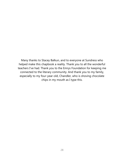Many thanks to Stacey Balkun, and to everyone at Sundress who helped make this chapbook a reality. Thank you to all the wonderful teachers I've had. Thank you to the Emrys Foundation for keeping me connected to the literary community. And thank you to my family, especially to my four-year-old, Chandler, who is shoving chocolate chips in my mouth as I type this.